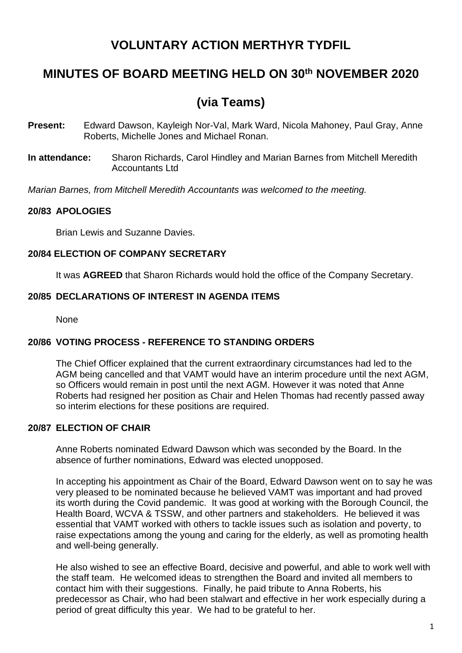# **VOLUNTARY ACTION MERTHYR TYDFIL**

# **MINUTES OF BOARD MEETING HELD ON 30th NOVEMBER 2020**

# **(via Teams)**

- **Present:** Edward Dawson, Kayleigh Nor-Val, Mark Ward, Nicola Mahoney, Paul Gray, Anne Roberts, Michelle Jones and Michael Ronan.
- **In attendance:** Sharon Richards, Carol Hindley and Marian Barnes from Mitchell Meredith Accountants Ltd

*Marian Barnes, from Mitchell Meredith Accountants was welcomed to the meeting.*

# **20/83 APOLOGIES**

Brian Lewis and Suzanne Davies.

# **20/84 ELECTION OF COMPANY SECRETARY**

It was **AGREED** that Sharon Richards would hold the office of the Company Secretary.

## **20/85 DECLARATIONS OF INTEREST IN AGENDA ITEMS**

None

## **20/86 VOTING PROCESS - REFERENCE TO STANDING ORDERS**

The Chief Officer explained that the current extraordinary circumstances had led to the AGM being cancelled and that VAMT would have an interim procedure until the next AGM, so Officers would remain in post until the next AGM. However it was noted that Anne Roberts had resigned her position as Chair and Helen Thomas had recently passed away so interim elections for these positions are required.

## **20/87 ELECTION OF CHAIR**

Anne Roberts nominated Edward Dawson which was seconded by the Board. In the absence of further nominations, Edward was elected unopposed.

In accepting his appointment as Chair of the Board, Edward Dawson went on to say he was very pleased to be nominated because he believed VAMT was important and had proved its worth during the Covid pandemic. It was good at working with the Borough Council, the Health Board, WCVA & TSSW, and other partners and stakeholders. He believed it was essential that VAMT worked with others to tackle issues such as isolation and poverty, to raise expectations among the young and caring for the elderly, as well as promoting health and well-being generally.

He also wished to see an effective Board, decisive and powerful, and able to work well with the staff team. He welcomed ideas to strengthen the Board and invited all members to contact him with their suggestions. Finally, he paid tribute to Anna Roberts, his predecessor as Chair, who had been stalwart and effective in her work especially during a period of great difficulty this year. We had to be grateful to her.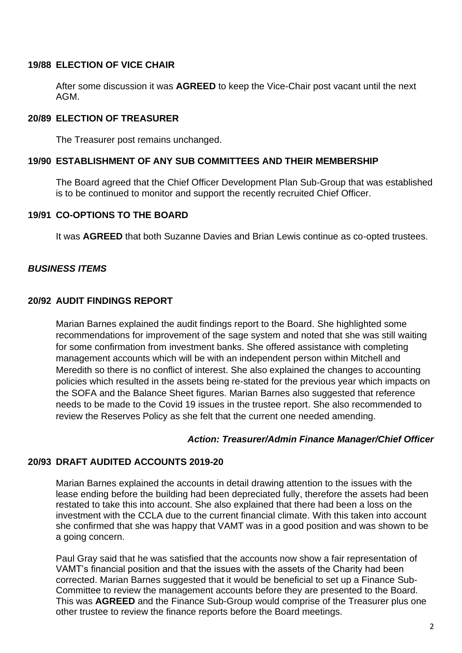### **19/88 ELECTION OF VICE CHAIR**

After some discussion it was **AGREED** to keep the Vice-Chair post vacant until the next AGM.

## **20/89 ELECTION OF TREASURER**

The Treasurer post remains unchanged.

#### **19/90 ESTABLISHMENT OF ANY SUB COMMITTEES AND THEIR MEMBERSHIP**

The Board agreed that the Chief Officer Development Plan Sub-Group that was established is to be continued to monitor and support the recently recruited Chief Officer.

#### **19/91 CO-OPTIONS TO THE BOARD**

It was **AGREED** that both Suzanne Davies and Brian Lewis continue as co-opted trustees.

## *BUSINESS ITEMS*

#### **20/92 AUDIT FINDINGS REPORT**

Marian Barnes explained the audit findings report to the Board. She highlighted some recommendations for improvement of the sage system and noted that she was still waiting for some confirmation from investment banks. She offered assistance with completing management accounts which will be with an independent person within Mitchell and Meredith so there is no conflict of interest. She also explained the changes to accounting policies which resulted in the assets being re-stated for the previous year which impacts on the SOFA and the Balance Sheet figures. Marian Barnes also suggested that reference needs to be made to the Covid 19 issues in the trustee report. She also recommended to review the Reserves Policy as she felt that the current one needed amending.

#### *Action: Treasurer/Admin Finance Manager/Chief Officer*

## **20/93 DRAFT AUDITED ACCOUNTS 2019-20**

Marian Barnes explained the accounts in detail drawing attention to the issues with the lease ending before the building had been depreciated fully, therefore the assets had been restated to take this into account. She also explained that there had been a loss on the investment with the CCLA due to the current financial climate. With this taken into account she confirmed that she was happy that VAMT was in a good position and was shown to be a going concern.

Paul Gray said that he was satisfied that the accounts now show a fair representation of VAMT's financial position and that the issues with the assets of the Charity had been corrected. Marian Barnes suggested that it would be beneficial to set up a Finance Sub-Committee to review the management accounts before they are presented to the Board. This was **AGREED** and the Finance Sub-Group would comprise of the Treasurer plus one other trustee to review the finance reports before the Board meetings.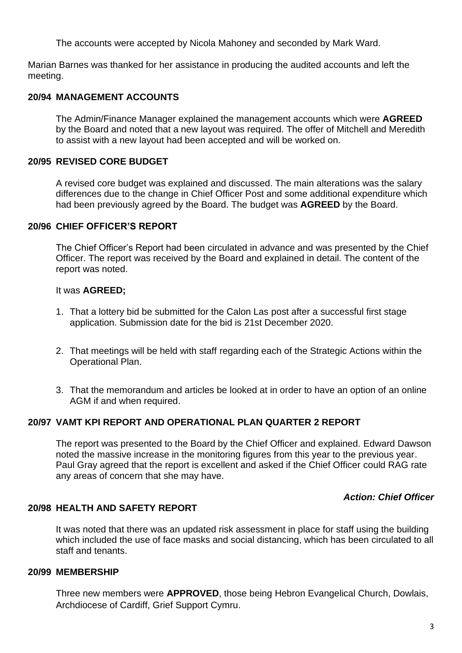The accounts were accepted by Nicola Mahoney and seconded by Mark Ward.

Marian Barnes was thanked for her assistance in producing the audited accounts and left the meeting.

### **20/94 MANAGEMENT ACCOUNTS**

The Admin/Finance Manager explained the management accounts which were **AGREED** by the Board and noted that a new layout was required. The offer of Mitchell and Meredith to assist with a new layout had been accepted and will be worked on.

#### **20/95 REVISED CORE BUDGET**

A revised core budget was explained and discussed. The main alterations was the salary differences due to the change in Chief Officer Post and some additional expenditure which had been previously agreed by the Board. The budget was **AGREED** by the Board.

#### **20/96 CHIEF OFFICER'S REPORT**

The Chief Officer's Report had been circulated in advance and was presented by the Chief Officer. The report was received by the Board and explained in detail. The content of the report was noted.

#### It was **AGREED;**

- 1. That a lottery bid be submitted for the Calon Las post after a successful first stage application. Submission date for the bid is 21st December 2020.
- 2. That meetings will be held with staff regarding each of the Strategic Actions within the Operational Plan.
- 3. That the memorandum and articles be looked at in order to have an option of an online AGM if and when required.

# **20/97 VAMT KPI REPORT AND OPERATIONAL PLAN QUARTER 2 REPORT**

The report was presented to the Board by the Chief Officer and explained. Edward Dawson noted the massive increase in the monitoring figures from this year to the previous year. Paul Gray agreed that the report is excellent and asked if the Chief Officer could RAG rate any areas of concern that she may have.

#### *Action: Chief Officer*

#### **20/98 HEALTH AND SAFETY REPORT**

It was noted that there was an updated risk assessment in place for staff using the building which included the use of face masks and social distancing, which has been circulated to all staff and tenants.

#### **20/99 MEMBERSHIP**

Three new members were **APPROVED**, those being Hebron Evangelical Church, Dowlais, Archdiocese of Cardiff, Grief Support Cymru.